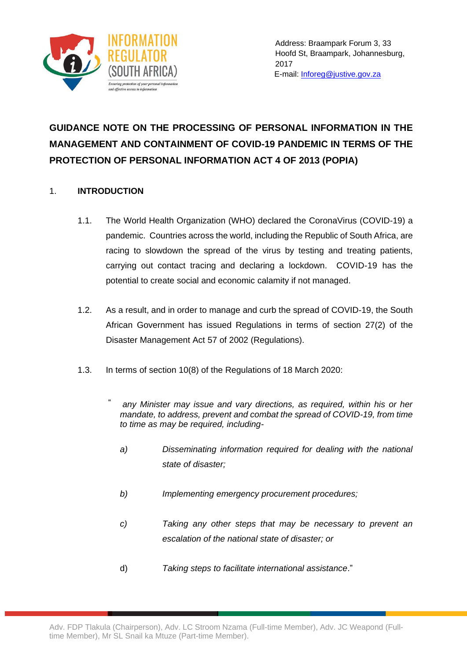

# **GUIDANCE NOTE ON THE PROCESSING OF PERSONAL INFORMATION IN THE MANAGEMENT AND CONTAINMENT OF COVID-19 PANDEMIC IN TERMS OF THE PROTECTION OF PERSONAL INFORMATION ACT 4 OF 2013 (POPIA)**

## 1. **INTRODUCTION**

- 1.1. The World Health Organization (WHO) declared the CoronaVirus (COVID-19) a pandemic. Countries across the world, including the Republic of South Africa, are racing to slowdown the spread of the virus by testing and treating patients, carrying out contact tracing and declaring a lockdown. COVID-19 has the potential to create social and economic calamity if not managed.
- 1.2. As a result, and in order to manage and curb the spread of COVID-19, the South African Government has issued Regulations in terms of section 27(2) of the Disaster Management Act 57 of 2002 (Regulations).
- 1.3. In terms of section 10(8) of the Regulations of 18 March 2020:
	- *any Minister may issue and vary directions, as required, within his or her mandate, to address, prevent and combat the spread of COVID-19, from time to time as may be required, including-*"
		- *a) Disseminating information required for dealing with the national state of disaster;*
		- *b) Implementing emergency procurement procedures;*
		- *c) Taking any other steps that may be necessary to prevent an escalation of the national state of disaster; or*
		- d) *Taking steps to facilitate international assistance*."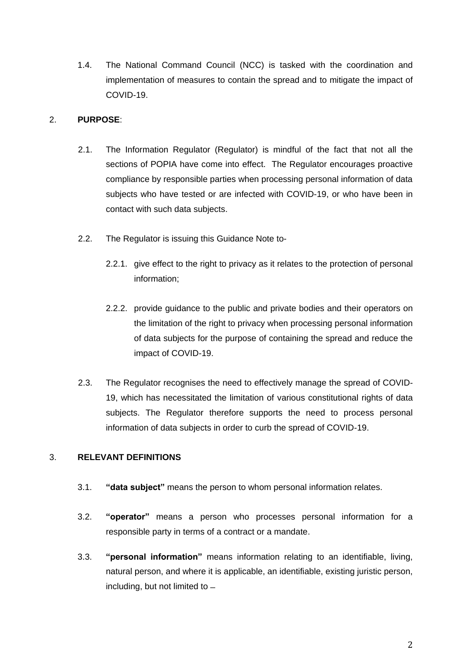1.4. The National Command Council (NCC) is tasked with the coordination and implementation of measures to contain the spread and to mitigate the impact of COVID-19.

#### 2. **PURPOSE**:

- 2.1. The Information Regulator (Regulator) is mindful of the fact that not all the sections of POPIA have come into effect. The Regulator encourages proactive compliance by responsible parties when processing personal information of data subjects who have tested or are infected with COVID-19, or who have been in contact with such data subjects.
- 2.2. The Regulator is issuing this Guidance Note to-
	- 2.2.1. give effect to the right to privacy as it relates to the protection of personal information;
	- 2.2.2. provide guidance to the public and private bodies and their operators on the limitation of the right to privacy when processing personal information of data subjects for the purpose of containing the spread and reduce the impact of COVID-19.
- 2.3. The Regulator recognises the need to effectively manage the spread of COVID-19, which has necessitated the limitation of various constitutional rights of data subjects. The Regulator therefore supports the need to process personal information of data subjects in order to curb the spread of COVID-19.

## 3. **RELEVANT DEFINITIONS**

- 3.1. **"data subject"** means the person to whom personal information relates.
- 3.2. **"operator"** means a person who processes personal information for a responsible party in terms of a contract or a mandate.
- 3.3. **"personal information"** means information relating to an identifiable, living, natural person, and where it is applicable, an identifiable, existing juristic person, including, but not limited to  $-$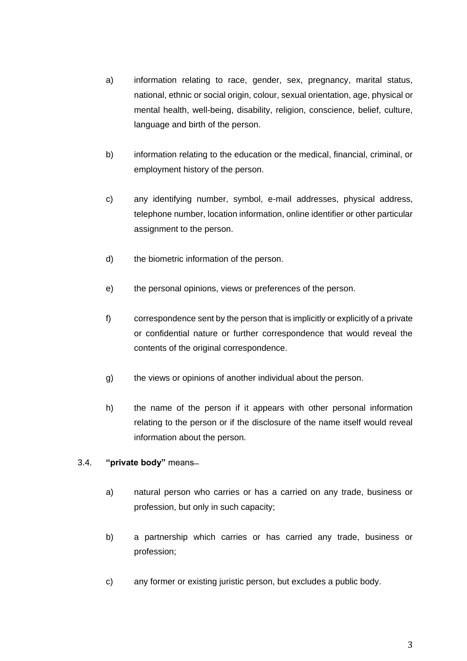- a) information relating to race, gender, sex, pregnancy, marital status, national, ethnic or social origin, colour, sexual orientation, age, physical or mental health, well-being, disability, religion, conscience, belief, culture, language and birth of the person.
- b) information relating to the education or the medical, financial, criminal, or employment history of the person.
- c) any identifying number, symbol, e-mail addresses, physical address, telephone number, location information, online identifier or other particular assignment to the person.
- d) the biometric information of the person.
- e) the personal opinions, views or preferences of the person.
- f) correspondence sent by the person that is implicitly or explicitly of a private or confidential nature or further correspondence that would reveal the contents of the original correspondence.
- g) the views or opinions of another individual about the person.
- h) the name of the person if it appears with other personal information relating to the person or if the disclosure of the name itself would reveal information about the person.

#### 3.4. **"private body"** means-

- a) natural person who carries or has a carried on any trade, business or profession, but only in such capacity;
- b) a partnership which carries or has carried any trade, business or profession;
- c) any former or existing juristic person, but excludes a public body.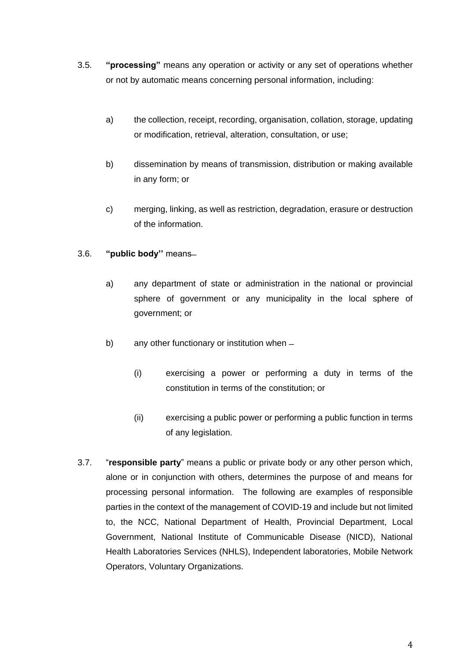- 3.5. **"processing"** means any operation or activity or any set of operations whether or not by automatic means concerning personal information, including:
	- a) the collection, receipt, recording, organisation, collation, storage, updating or modification, retrieval, alteration, consultation, or use;
	- b) dissemination by means of transmission, distribution or making available in any form; or
	- c) merging, linking, as well as restriction, degradation, erasure or destruction of the information.

### 3.6. **"public body"** means-

- a) any department of state or administration in the national or provincial sphere of government or any municipality in the local sphere of government; or
- b) any other functionary or institution when
	- (i) exercising a power or performing a duty in terms of the constitution in terms of the constitution; or
	- (ii) exercising a public power or performing a public function in terms of any legislation.
- 3.7. "**responsible party**" means a public or private body or any other person which, alone or in conjunction with others, determines the purpose of and means for processing personal information. The following are examples of responsible parties in the context of the management of COVID-19 and include but not limited to, the NCC, National Department of Health, Provincial Department, Local Government, National Institute of Communicable Disease (NICD), National Health Laboratories Services (NHLS), Independent laboratories, Mobile Network Operators, Voluntary Organizations.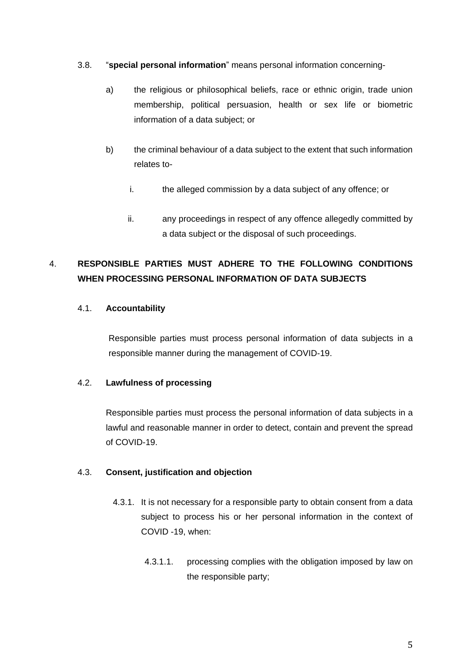- 3.8. "**special personal information**" means personal information concerning
	- a) the religious or philosophical beliefs, race or ethnic origin, trade union membership, political persuasion, health or sex life or biometric information of a data subject; or
	- b) the criminal behaviour of a data subject to the extent that such information relates to
		- i. the alleged commission by a data subject of any offence; or
		- ii. any proceedings in respect of any offence allegedly committed by a data subject or the disposal of such proceedings.

## 4. **RESPONSIBLE PARTIES MUST ADHERE TO THE FOLLOWING CONDITIONS WHEN PROCESSING PERSONAL INFORMATION OF DATA SUBJECTS**

## 4.1. **Accountability**

Responsible parties must process personal information of data subjects in a responsible manner during the management of COVID-19.

#### 4.2. **Lawfulness of processing**

Responsible parties must process the personal information of data subjects in a lawful and reasonable manner in order to detect, contain and prevent the spread of COVID-19.

#### 4.3. **Consent, justification and objection**

- 4.3.1. It is not necessary for a responsible party to obtain consent from a data subject to process his or her personal information in the context of COVID -19, when:
	- 4.3.1.1. processing complies with the obligation imposed by law on the responsible party;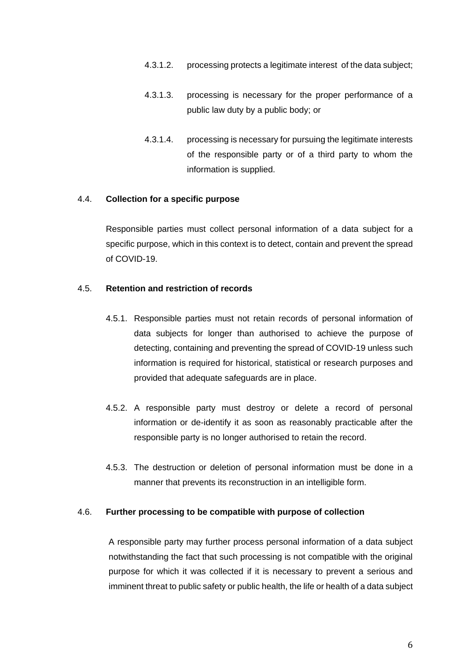- 4.3.1.2. processing protects a legitimate interest of the data subject;
- 4.3.1.3. processing is necessary for the proper performance of a public law duty by a public body; or
- 4.3.1.4. processing is necessary for pursuing the legitimate interests of the responsible party or of a third party to whom the information is supplied.

#### 4.4. **Collection for a specific purpose**

Responsible parties must collect personal information of a data subject for a specific purpose, which in this context is to detect, contain and prevent the spread of COVID-19.

#### 4.5. **Retention and restriction of records**

- 4.5.1. Responsible parties must not retain records of personal information of data subjects for longer than authorised to achieve the purpose of detecting, containing and preventing the spread of COVID-19 unless such information is required for historical, statistical or research purposes and provided that adequate safeguards are in place.
- 4.5.2. A responsible party must destroy or delete a record of personal information or de-identify it as soon as reasonably practicable after the responsible party is no longer authorised to retain the record.
- 4.5.3. The destruction or deletion of personal information must be done in a manner that prevents its reconstruction in an intelligible form.

#### 4.6. **Further processing to be compatible with purpose of collection**

A responsible party may further process personal information of a data subject notwithstanding the fact that such processing is not compatible with the original purpose for which it was collected if it is necessary to prevent a serious and imminent threat to public safety or public health, the life or health of a data subject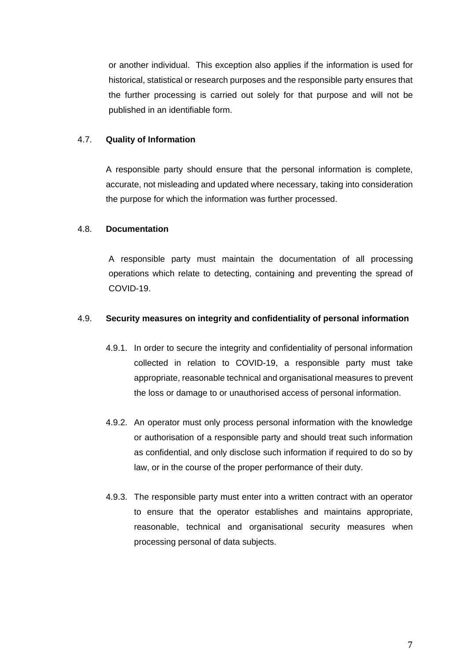or another individual. This exception also applies if the information is used for historical, statistical or research purposes and the responsible party ensures that the further processing is carried out solely for that purpose and will not be published in an identifiable form.

#### 4.7. **Quality of Information**

A responsible party should ensure that the personal information is complete, accurate, not misleading and updated where necessary, taking into consideration the purpose for which the information was further processed.

#### 4.8. **Documentation**

A responsible party must maintain the documentation of all processing operations which relate to detecting, containing and preventing the spread of COVID-19.

#### 4.9. **Security measures on integrity and confidentiality of personal information**

- 4.9.1. In order to secure the integrity and confidentiality of personal information collected in relation to COVID-19, a responsible party must take appropriate, reasonable technical and organisational measures to prevent the loss or damage to or unauthorised access of personal information.
- 4.9.2. An operator must only process personal information with the knowledge or authorisation of a responsible party and should treat such information as confidential, and only disclose such information if required to do so by law, or in the course of the proper performance of their duty.
- 4.9.3. The responsible party must enter into a written contract with an operator to ensure that the operator establishes and maintains appropriate, reasonable, technical and organisational security measures when processing personal of data subjects.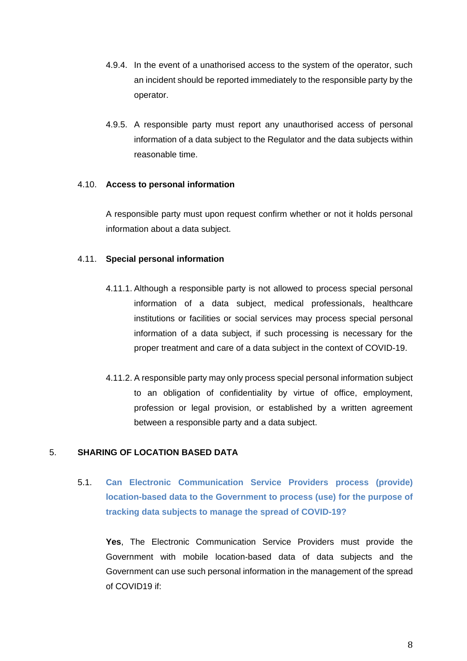- 4.9.4. In the event of a unathorised access to the system of the operator, such an incident should be reported immediately to the responsible party by the operator.
- 4.9.5. A responsible party must report any unauthorised access of personal information of a data subject to the Regulator and the data subjects within reasonable time.

#### 4.10. **Access to personal information**

A responsible party must upon request confirm whether or not it holds personal information about a data subject.

#### 4.11. **Special personal information**

- 4.11.1. Although a responsible party is not allowed to process special personal information of a data subject, medical professionals, healthcare institutions or facilities or social services may process special personal information of a data subject, if such processing is necessary for the proper treatment and care of a data subject in the context of COVID-19.
- 4.11.2. A responsible party may only process special personal information subject to an obligation of confidentiality by virtue of office, employment, profession or legal provision, or established by a written agreement between a responsible party and a data subject.

#### 5. **SHARING OF LOCATION BASED DATA**

5.1. **Can Electronic Communication Service Providers process (provide) location-based data to the Government to process (use) for the purpose of tracking data subjects to manage the spread of COVID-19?**

**Yes**, The Electronic Communication Service Providers must provide the Government with mobile location-based data of data subjects and the Government can use such personal information in the management of the spread of COVID19 if: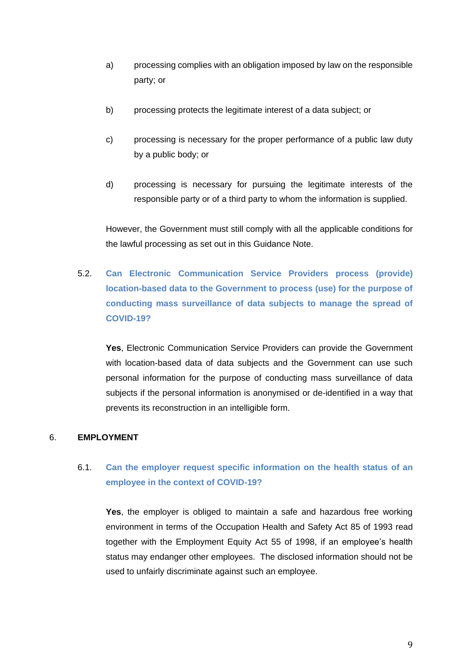- a) processing complies with an obligation imposed by law on the responsible party; or
- b) processing protects the legitimate interest of a data subject; or
- c) processing is necessary for the proper performance of a public law duty by a public body; or
- d) processing is necessary for pursuing the legitimate interests of the responsible party or of a third party to whom the information is supplied.

However, the Government must still comply with all the applicable conditions for the lawful processing as set out in this Guidance Note.

5.2. **Can Electronic Communication Service Providers process (provide) location-based data to the Government to process (use) for the purpose of conducting mass surveillance of data subjects to manage the spread of COVID-19?**

**Yes**, Electronic Communication Service Providers can provide the Government with location-based data of data subjects and the Government can use such personal information for the purpose of conducting mass surveillance of data subjects if the personal information is anonymised or de-identified in a way that prevents its reconstruction in an intelligible form.

## 6. **EMPLOYMENT**

## 6.1. **Can the employer request specific information on the health status of an employee in the context of COVID-19?**

**Yes**, the employer is obliged to maintain a safe and hazardous free working environment in terms of the Occupation Health and Safety Act 85 of 1993 read together with the Employment Equity Act 55 of 1998, if an employee's health status may endanger other employees. The disclosed information should not be used to unfairly discriminate against such an employee.